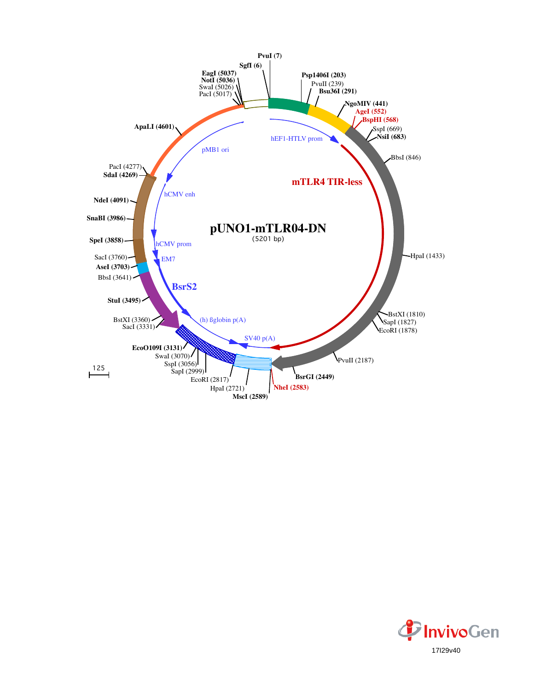

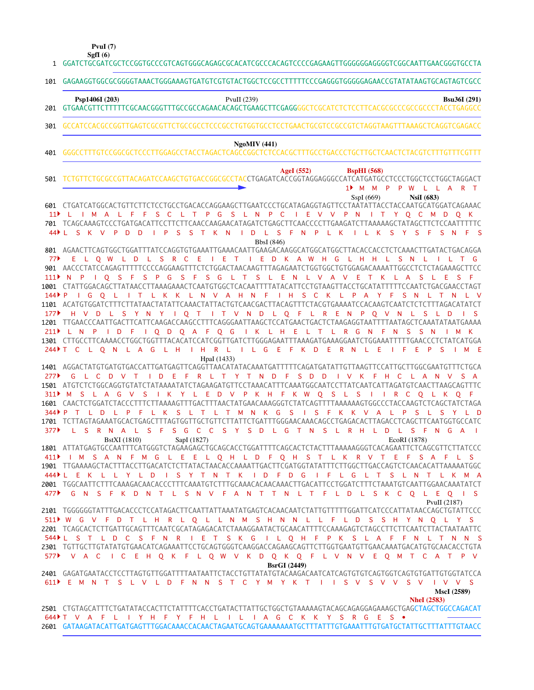**PvuI (7)**

| SgfI(6) |
|---------|
|---------|

GGATCTGCGATCGCTCCGGTGCCCGTCAGTGGGCAGAGCGCACATCGCCCACAGTCCCCGAGAAGTTGGGGGGAGGGGTCGGCAATTGAACGGGTGCCTA 1

|                 | 101 GAGAAGGTGGCGCGGGGTAAACTGGGAAAGTGATGTCGTGTACTGGCTCCGCCTTTTTCCCGAGGGTGGGGGAACCGTATATAAGTGCAGTAGTCGCC                                                                                                                                                                                                                                                                                               |
|-----------------|------------------------------------------------------------------------------------------------------------------------------------------------------------------------------------------------------------------------------------------------------------------------------------------------------------------------------------------------------------------------------------------------------|
|                 | Psp1406I (203)<br>PvuII $(239)$<br><b>Bsu36I</b> (291)                                                                                                                                                                                                                                                                                                                                               |
| 301             | GCCATCCACGCCGGTTGAGTCGCGTTCTGCCGCCTCCCGCCTGTGGTGCCTCCTGAACTGCGTCCGCCGTCTAGGTAAGTTTAAAGCTCAGGTCGAGACC                                                                                                                                                                                                                                                                                                 |
| 401             | NgoMIV(441)                                                                                                                                                                                                                                                                                                                                                                                          |
| 501             | AgeI $(552)$<br><b>BspHI</b> (568)<br>TCTGTTCTGCGCCGTTACAGATCCAAGCTGTGACCGGCGCCTACCTGAGATCACCGGTAGGAGGGCCATCATGATGCCTCCCTGGCTCCTGGCTAGGACT<br>1 <sup>M</sup> MMPPW<br>- L.<br>L A                                                                                                                                                                                                                    |
| 11 <sup>2</sup> | <b>NsiI</b> (683)<br>SspI(669)<br>L T P G S L N P C I E V V P N<br>L I M A L F<br>F S C<br>I T Y O C M D O K<br>701 TCAGCAAAGTCCCTGATGACATTCCTTCTTCAACCAAGAACATAGATCTGAGCTTCAACCCCTTGAAGATCTTAAAAAGCTATAGCTTCTCCAATTTTTC<br>L S F N P L K<br>44 L S K V<br>P.<br>D<br>D<br>P<br>S.<br>S T<br>K N<br>D<br>ILK<br>S Y<br>S.<br>Æ<br>$S \times N$<br>$F-S$<br>- 1                                       |
| 77▶             | BbsI (846)<br>801 AGAACTTCAGTGGCTGGATTTATCCAGGTGTGAAATTGAAACAATTGAAGACAAGGCATGGCATGGCTTACACCACCTCTCAAACTTGATACTGACAGGA<br>I E T I E D K A W H G L H H L S N<br>E L O W L D L<br>S R C E<br>$\mathsf{I} \mathsf{I}$ $\mathsf{T}$ G<br>- L                                                                                                                                                             |
| 111<br>$144$ P  | 901 AACCCTATCCAGAGTTTTTCCCCAGGAAGTTTCTCTGGACTAACAAGTTTAGAGAATCTGGTGGCTGTGGAGACAAAATTGGCCTCTCTAGAAAGCTTCC<br>I Q S F S P G S F S G L T S L E N L V A V E T K L A<br>S.<br>E<br>-S<br>1001 CTATTGGACAGCTTATAACCTTAAAGAAACTCAATGTGGCTCACAATTTTATACATTCCTGTAAGTTACCTGCATATTTTTCCAATCTGACGAACCTAGT<br>IT L K K L N V A H N F I H S C K L P A Y F<br>IGO L<br>S.<br>N<br>$\top$<br>N                       |
| 177             | 1101 ACATGTGGATCTTTCTTATAACTATATTCAAACTATTACTGTCAACGACTTACAGTTTCTACGTGAAAATCCACAAGTCAATCTCTCTTTAGACATATCT<br>H V D L S Y N Y I Q T I T V N D L Q F L R E N P Q V N<br>LS LD<br>1201 TTGAACCCAATTGACTTCATTCAAGACCAAGCCTTTCAGGGAATTAAGCTCCATGAACTGACTCTAAGAGGTAATTTTAATAGCTCAAATATAATGAAAA<br>211) LN P I D F I Q D Q A F Q G I K L H E L T L R G N F N<br>SSN<br>M K                                  |
| 244 ▶ T         | 1301 CTTGCCTTCAAAACCTGGCTGGTTTACACATCCATCGGTTGATCTTGGGAGAATTTAAAGATGAAAGGAATCTGGAAATTTTTGAACCCTCTATCATGGA<br>L H I H R L I L G E F K D E R N<br>G<br>-L E<br>C L O N<br>L A<br>E<br>-S<br>M E<br>HpaI (1433)                                                                                                                                                                                         |
| 277             | 1401 AGGACTATGTGATGTGACCATTGATGAGTTCAGGTTAACATATACAAATGATTTTTCAGATGATATTGTTAAGTTCCATTGCTTGGCGAATGTTTCTGCA<br>I D E F R L T Y T N D F S D D<br>L C D V T<br>IVKFHCLAN<br>G<br>VSA                                                                                                                                                                                                                     |
| 311<br>$344$ P  | M S L A G V S I K Y L E D V P K H F K W Q S L S I I R C Q L K Q F<br>1601 CAACTCTGGATCTACCCTTTCTTAAAAGTTTGACTTTAACTATGAACAAAGGGTCTATCAGTTTTAAAAAAGTGGCCCTACCAAGTCTCAGCTATCTAGA<br>L T M N K G<br>L K<br>$\top$<br>$^{\circ}$ S<br>$\sim 1$<br>S F K K<br><b>A</b><br>L D<br>$\mathsf{P}$<br>- F<br><sub>S</sub><br>- L<br>$\mathsf{V}$<br>- 11<br>P<br>S                                             |
| 377             | L S R N A L S F<br>S G C C S Y S D L G T N S<br>L R H L D L S F N G A<br>$\sim$ 1.<br>SapI (1827)<br>EcoRI (1878)<br><b>BstXI</b> (1810)<br>1801 ATTATGAGTGCCAATTTCATGGGTCTAGAAGAGCTGCAGCACCTGGATTTTCAGCACTCTACTTTAAAAAGGGTCACAGAATTCTCAGCGTTCTTATCCC                                                                                                                                                |
| 411             | I M S A N F M G L E E L Q H L D F Q H S T L K R V T E F S A F L S<br>1901 TTGAAAAGCTACTTTACCTTGACATCTCTTATACTAACACCAAAATTGACTTCGATGGTATATTTCTTGGCTTGACCAGTCTCAACACATTAAAAATGGC<br>444) LEKLLYLD ISYTNTK I DFD GIFL GLT SLNTLKMA<br>2001 TGGCAATTCTTTCAAAGACAACACCCTTTCAAATGTCTTTGCAAACACAACAACTTGACATTCCTGGATCTTTCTAAATGTCAATTGGAACAAATATCT<br>477 CNSFKDNT L SNV FANTTN L T F L D L SK C O L E O IS |
|                 | PvuII (2187)<br>2101 TGGGGGGTATTTGACACCCTCCATAGACTTCAATTATTAAATATGAGTCACAACAATCTATTGTTTTTGGATTCATCCCATTATAACCAGCTGTATTCCC<br>511 N G V F D T L H R L Q L L N M S H N N L L F L D S S H Y N Q L Y S                                                                                                                                                                                                   |
|                 | 2201 TCAGCACTCTTGATTGCAGTTTCAATCGCATAGAGACATCTAAAGGAATACTGCAACATTTTCCAAAGAGTCTAGCCTTCTTCAATCTTACTAATAATTC<br>544) L S T L D C S F N R I E T S K G I L Q H F P K S L A F F N L T N N S<br>2301 TGTTGCTTGTATATGTGAACATCAGAAATTCCTGCAGTGGGTCAAGGACCAGAAGCAGTTCTTGGTGAATGTTGAACAAATGACATGTGCAACACCTGTA<br>577 VACICEH Q K F L Q W V K D Q K Q F L V N V E Q M T C A T P V<br><b>BsrGI</b> (2449)         |
|                 | 2401 GAGATGAATACCTCCTTAGTGTTGGATTTTAATAATTCTACCTGTTATATGTACAAGACAATCATCAGTGTGAGTGGTCAGTGTGATTGTGGTATCCA<br>611) EMNT SLVLD FNN ST CYMYKT I I SV SV V SV I V V S<br><b>MscI</b> (2589)                                                                                                                                                                                                                |
|                 | <b>NheI</b> (2583)<br>644▶T V A F L I Y H F Y F H L I L I A G C K K Y S R G E S •<br>2601 GATAAGATACATTGATGAGTTTGGACAAACCACAACTAGAATGCAGTGAAAAAATGCTTTATTTGTGAAATTTGTGATGCTATTGCTTTATTTGTAACC                                                                                                                                                                                                        |